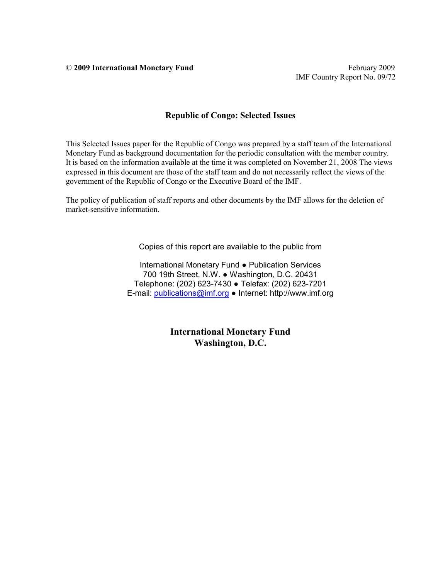© **2009 International Monetary Fund** February 2009

#### **Republic of Congo: Selected Issues**

This Selected Issues paper for the Republic of Congo was prepared by a staff team of the International Monetary Fund as background documentation for the periodic consultation with the member country. It is based on the information available at the time it was completed on November 21, 2008 The views expressed in this document are those of the staff team and do not necessarily reflect the views of the government of the Republic of Congo or the Executive Board of the IMF.

The policy of publication of staff reports and other documents by the IMF allows for the deletion of market-sensitive information.

Copies of this report are available to the public from

International Monetary Fund ● Publication Services 700 19th Street, N.W. ● Washington, D.C. 20431 Telephone: (202) 623-7430 ● Telefax: (202) 623-7201 E-mail: publications@imf.org ● Internet: http://www.imf.org

> **International Monetary Fund Washington, D.C.**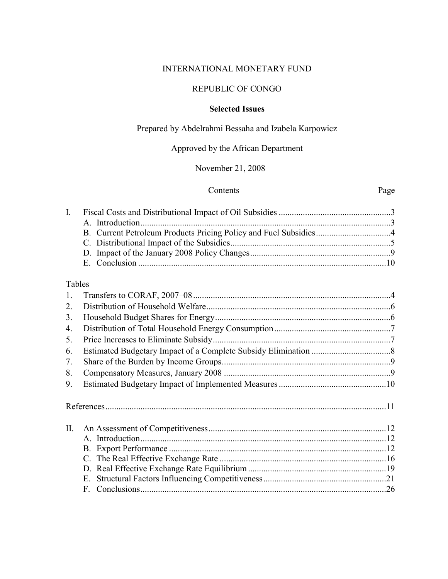## INTERNATIONAL MONETARY FUND

## REPUBLIC OF CONGO

## **Selected Issues**

## Prepared by Abdelrahmi Bessaha and Izabela Karpowicz

# Approved by the African Department

## November 21, 2008

#### Contents Page

## Tables

| 2.<br>3.<br>4.<br>5.<br>6. |  |
|----------------------------|--|
|                            |  |
|                            |  |
|                            |  |
|                            |  |
|                            |  |
| 7.                         |  |
| 8.                         |  |
| 9.                         |  |
|                            |  |
|                            |  |
|                            |  |
| $\Pi$ .                    |  |
|                            |  |
|                            |  |
|                            |  |
|                            |  |
| Е.                         |  |
|                            |  |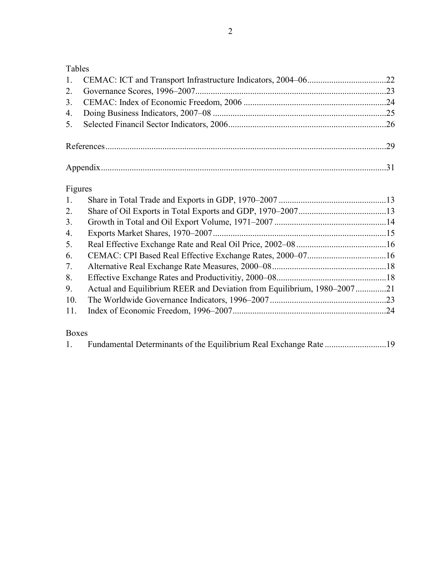Tables

## Figures

| $1_{\cdot}$ |                                                                       |  |
|-------------|-----------------------------------------------------------------------|--|
| 2.          |                                                                       |  |
| 3.          |                                                                       |  |
| 4.          |                                                                       |  |
| 5.          |                                                                       |  |
| 6.          |                                                                       |  |
| 7.          |                                                                       |  |
| 8.          |                                                                       |  |
| 9.          | Actual and Equilibrium REER and Deviation from Equilibrium, 1980–2007 |  |
| 10.         |                                                                       |  |
| 11.         |                                                                       |  |
|             |                                                                       |  |

## Boxes

|--|--|--|--|--|--|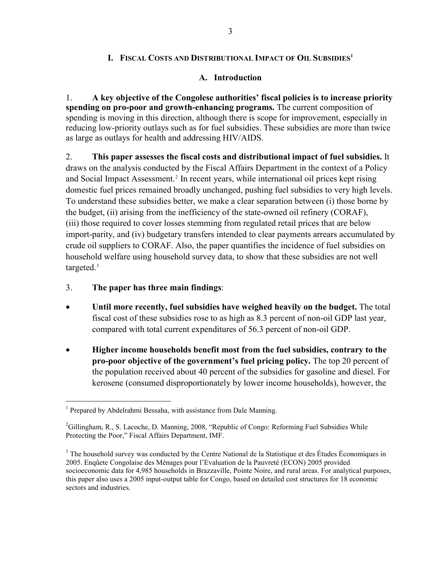## **I. FISCAL COSTS AND DISTRIBUTIONAL IMPACT OF OIL SUBSIDIES1**

## **A. Introduction**

1. **A key objective of the Congolese authorities' fiscal policies is to increase priority spending on pro-poor and growth-enhancing programs.** The current composition of spending is moving in this direction, although there is scope for improvement, especially in reducing low-priority outlays such as for fuel subsidies. These subsidies are more than twice as large as outlays for health and addressing HIV/AIDS.

2. **This paper assesses the fiscal costs and distributional impact of fuel subsidies.** It draws on the analysis conducted by the Fiscal Affairs Department in the context of a Policy and Social Impact Assessment.<sup>[2](#page-4-0)</sup> In recent years, while international oil prices kept rising domestic fuel prices remained broadly unchanged, pushing fuel subsidies to very high levels. To understand these subsidies better, we make a clear separation between (i) those borne by the budget, (ii) arising from the inefficiency of the state-owned oil refinery (CORAF), (iii) those required to cover losses stemming from regulated retail prices that are below import-parity, and (iv) budgetary transfers intended to clear payments arrears accumulated by crude oil suppliers to CORAF. Also, the paper quantifies the incidence of fuel subsidies on household welfare using household survey data, to show that these subsidies are not well targeted. $3$ 

3. **The paper has three main findings**:

- **Until more recently, fuel subsidies have weighed heavily on the budget.** The total fiscal cost of these subsidies rose to as high as 8.3 percent of non-oil GDP last year, compared with total current expenditures of 56.3 percent of non-oil GDP.
- **Higher income households benefit most from the fuel subsidies, contrary to the pro-poor objective of the government's fuel pricing policy.** The top 20 percent of the population received about 40 percent of the subsidies for gasoline and diesel. For kerosene (consumed disproportionately by lower income households), however, the

<sup>&</sup>lt;sup>1</sup> Prepared by Abdelrahmi Bessaha, with assistance from Dale Manning.

<span id="page-4-0"></span><sup>&</sup>lt;sup>2</sup>Gillingham, R., S. Lacoche, D. Manning, 2008, "Republic of Congo: Reforming Fuel Subsidies While Protecting the Poor," Fiscal Affairs Department, IMF.

<span id="page-4-1"></span> $3$  The household survey was conducted by the Centre National de la Statistique et des Études Économiques in 2005. Enqûete Congolaise des Ménages pour l'Evaluation de la Pauvreté (ECON) 2005 provided socioeconomic data for 4,985 households in Brazzaville, Pointe Noire, and rural areas. For analytical purposes, this paper also uses a 2005 input-output table for Congo, based on detailed cost structures for 18 economic sectors and industries.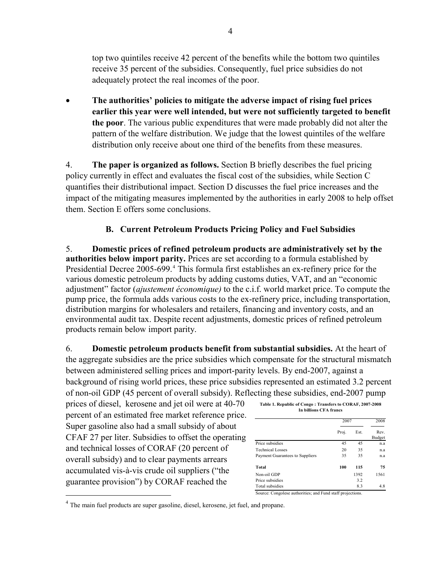top two quintiles receive 42 percent of the benefits while the bottom two quintiles receive 35 percent of the subsidies. Consequently, fuel price subsidies do not adequately protect the real incomes of the poor.

• **The authorities' policies to mitigate the adverse impact of rising fuel prices earlier this year were well intended, but were not sufficiently targeted to benefit the poor**. The various public expenditures that were made probably did not alter the pattern of the welfare distribution. We judge that the lowest quintiles of the welfare distribution only receive about one third of the benefits from these measures.

4. **The paper is organized as follows.** Section B briefly describes the fuel pricing policy currently in effect and evaluates the fiscal cost of the subsidies, while Section C quantifies their distributional impact. Section D discusses the fuel price increases and the impact of the mitigating measures implemented by the authorities in early 2008 to help offset them. Section E offers some conclusions.

## **B. Current Petroleum Products Pricing Policy and Fuel Subsidies**

5. **Domestic prices of refined petroleum products are administratively set by the authorities below import parity.** Prices are set according to a formula established by Presidential Decree 2005-699.<sup>[4](#page-5-0)</sup> This formula first establishes an ex-refinery price for the various domestic petroleum products by adding customs duties, VAT, and an "economic adjustment" factor (*ajustement économique)* to the c.i.f. world market price. To compute the pump price, the formula adds various costs to the ex-refinery price, including transportation, distribution margins for wholesalers and retailers, financing and inventory costs, and an environmental audit tax. Despite recent adjustments, domestic prices of refined petroleum products remain below import parity.

6. **Domestic petroleum products benefit from substantial subsidies.** At the heart of the aggregate subsidies are the price subsidies which compensate for the structural mismatch between administered selling prices and import-parity levels. By end-2007, against a background of rising world prices, these price subsidies represented an estimated 3.2 percent of non-oil GDP (45 percent of overall subsidy). Reflecting these subsidies, end-2007 pump

prices of diesel, kerosene and jet oil were at 40-70 percent of an estimated free market reference price. Super gasoline also had a small subsidy of about CFAF 27 per liter. Subsidies to offset the operating and technical losses of CORAF (20 percent of overall subsidy) and to clear payments arrears accumulated vis-à-vis crude oil suppliers ("the guarantee provision") by CORAF reached the

 $\overline{a}$ 

| Table 1. Republic of Congo: Transfers to CORAF, 2007-2008 |
|-----------------------------------------------------------|
| In billions CFA francs                                    |
|                                                           |

|       | 2007 |               |
|-------|------|---------------|
| Proj. | Est. | Rev<br>Budget |
| 45    | 45   | n.a           |
| 20    | 35   | n.a           |
| 35    | 35   | n.a           |
| 100   | 115  | 75            |
|       | 1392 | 1561          |
|       | 32   |               |
|       | 8.3  | 4.8           |
|       |      |               |

<span id="page-5-0"></span><sup>4</sup> The main fuel products are super gasoline, diesel, kerosene, jet fuel, and propane.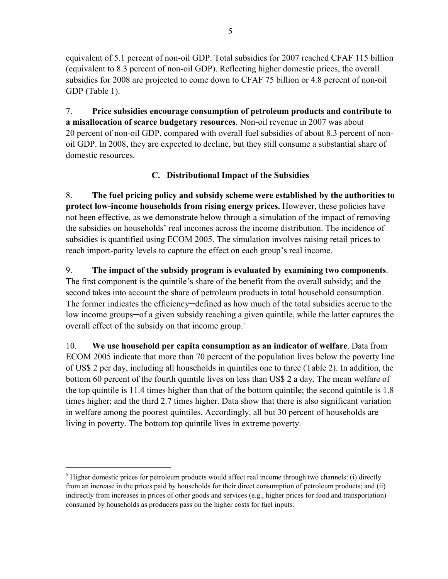equivalent of 5.1 percent of non-oil GDP. Total subsidies for 2007 reached CFAF 115 billion (equivalent to 8.3 percent of non-oil GDP). Reflecting higher domestic prices, the overall subsidies for 2008 are projected to come down to CFAF 75 billion or 4.8 percent of non-oil GDP (Table 1).

7. **Price subsidies encourage consumption of petroleum products and contribute to a misallocation of scarce budgetary resources**. Non-oil revenue in 2007 was about 20 percent of non-oil GDP, compared with overall fuel subsidies of about 8.3 percent of nonoil GDP. In 2008, they are expected to decline, but they still consume a substantial share of domestic resources.

# **C. Distributional Impact of the Subsidies**

8. **The fuel pricing policy and subsidy scheme were established by the authorities to protect low-income households from rising energy prices.** However, these policies have not been effective, as we demonstrate below through a simulation of the impact of removing the subsidies on households' real incomes across the income distribution. The incidence of subsidies is quantified using ECOM 2005. The simulation involves raising retail prices to reach import-parity levels to capture the effect on each group's real income.

9. **The impact of the subsidy program is evaluated by examining two components**. The first component is the quintile's share of the benefit from the overall subsidy; and the second takes into account the share of petroleum products in total household consumption. The former indicates the efficiency—defined as how much of the total subsidies accrue to the low income groups─of a given subsidy reaching a given quintile, while the latter captures the overall effect of the subsidy on that income group.<sup>[5](#page-6-0)</sup>

10. **We use household per capita consumption as an indicator of welfare**. Data from ECOM 2005 indicate that more than 70 percent of the population lives below the poverty line of US\$ 2 per day, including all households in quintiles one to three (Table 2). In addition, the bottom 60 percent of the fourth quintile lives on less than US\$ 2 a day. The mean welfare of the top quintile is 11.4 times higher than that of the bottom quintile; the second quintile is 1.8 times higher; and the third 2.7 times higher. Data show that there is also significant variation in welfare among the poorest quintiles. Accordingly, all but 30 percent of households are living in poverty. The bottom top quintile lives in extreme poverty.

<span id="page-6-0"></span> $<sup>5</sup>$  Higher domestic prices for petroleum products would affect real income through two channels: (i) directly</sup> from an increase in the prices paid by households for their direct consumption of petroleum products; and (ii) indirectly from increases in prices of other goods and services (e.g., higher prices for food and transportation) consumed by households as producers pass on the higher costs for fuel inputs.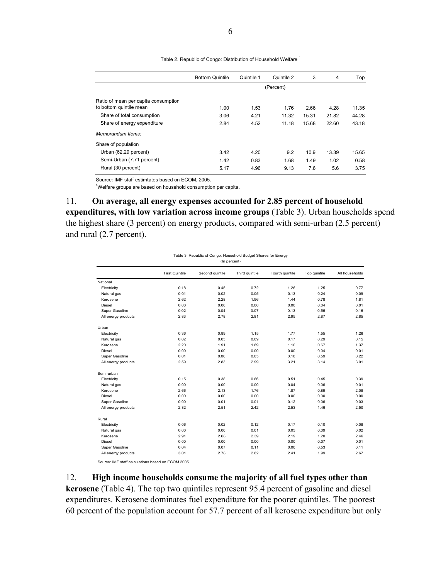|                                      | <b>Bottom Quintile</b> | Quintile 1 | Quintile 2 | 3     | 4     | Top   |
|--------------------------------------|------------------------|------------|------------|-------|-------|-------|
|                                      |                        |            | (Percent)  |       |       |       |
| Ratio of mean per capita consumption |                        |            |            |       |       |       |
| to bottom quintile mean              | 1.00                   | 1.53       | 1.76       | 2.66  | 4.28  | 11.35 |
| Share of total consumption           | 3.06                   | 4.21       | 11.32      | 15.31 | 21.82 | 44.28 |
| Share of energy expenditure          | 2.84                   | 4.52       | 11.18      | 15.68 | 22.60 | 43.18 |
| Memorandum Items:                    |                        |            |            |       |       |       |
| Share of population                  |                        |            |            |       |       |       |
| Urban (62.29 percent)                | 3.42                   | 4.20       | 9.2        | 10.9  | 13.39 | 15.65 |
| Semi-Urban (7.71 percent)            | 1.42                   | 0.83       | 1.68       | 1.49  | 1.02  | 0.58  |
| Rural (30 percent)                   | 5.17                   | 4.96       | 9.13       | 7.6   | 5.6   | 3.75  |

Table 2. Republic of Congo: Distribution of Household Welfare<sup>1</sup>

Source: IMF staff estimtates based on ECOM, 2005.

<sup>1</sup>Welfare groups are based on household consumption per capita.

11. **On average, all energy expenses accounted for 2.85 percent of household expenditures, with low variation across income groups** (Table 3). Urban households spend the highest share (3 percent) on energy products, compared with semi-urban (2.5 percent) and rural (2.7 percent).

| Table 3. Republic of Congo: Household Budget Shares for Energy |  |  |  |  |  |
|----------------------------------------------------------------|--|--|--|--|--|
| (In percent)                                                   |  |  |  |  |  |

|                     | <b>First Quintile</b> | Second quintile | Third quintile | Fourth quintile | Top quintile | All households |
|---------------------|-----------------------|-----------------|----------------|-----------------|--------------|----------------|
| National            |                       |                 |                |                 |              |                |
| Electricity         | 0.18                  | 0.45            | 0.72           | 1.26            | 1.25         | 0.77           |
| Natural gas         | 0.01                  | 0.02            | 0.05           | 0.13            | 0.24         | 0.09           |
| Kerosene            | 2.62                  | 2.28            | 1.96           | 1.44            | 0.78         | 1.81           |
| Diesel              | 0.00                  | 0.00            | 0.00           | 0.00            | 0.04         | 0.01           |
| Super Gasoline      | 0.02                  | 0.04            | 0.07           | 0.13            | 0.56         | 0.16           |
| All energy products | 2.83                  | 2.78            | 2.81           | 2.95            | 2.87         | 2.85           |
| Urban               |                       |                 |                |                 |              |                |
| Electricity         | 0.36                  | 0.89            | 1.15           | 1.77            | 1.55         | 1.26           |
| Natural gas         | 0.02                  | 0.03            | 0.09           | 0.17            | 0.29         | 0.15           |
| Kerosene            | 2.20                  | 1.91            | 1.69           | 1.10            | 0.67         | 1.37           |
| Diesel              | 0.00                  | 0.00            | 0.00           | 0.00            | 0.04         | 0.01           |
| Super Gasoline      | 0.01                  | 0.00            | 0.05           | 0.18            | 0.59         | 0.22           |
| All energy products | 2.59                  | 2.83            | 2.99           | 3.21            | 3.14         | 3.01           |
| Semi-urban          |                       |                 |                |                 |              |                |
| Electricity         | 0.15                  | 0.38            | 0.66           | 0.51            | 0.45         | 0.39           |
| Natural gas         | 0.00                  | 0.00            | 0.00           | 0.04            | 0.06         | 0.01           |
| Kerosene            | 2.66                  | 2.13            | 1.76           | 1.87            | 0.89         | 2.08           |
| Diesel              | 0.00                  | 0.00            | 0.00           | 0.00            | 0.00         | 0.00           |
| Super Gasoline      | 0.00                  | 0.01            | 0.01           | 0.12            | 0.06         | 0.03           |
| All energy products | 2.82                  | 2.51            | 2.42           | 2.53            | 1.46         | 2.50           |
| Rural               |                       |                 |                |                 |              |                |
| Electricity         | 0.06                  | 0.02            | 0.12           | 0.17            | 0.10         | 0.08           |
| Natural gas         | 0.00                  | 0.00            | 0.01           | 0.05            | 0.09         | 0.02           |
| Kerosene            | 2.91                  | 2.68            | 2.39           | 2.19            | 1.20         | 2.46           |
| Diesel              | 0.00                  | 0.00            | 0.00           | 0.00            | 0.07         | 0.01           |
| Super Gasoline      | 0.04                  | 0.07            | 0.11           | 0.00            | 0.53         | 0.11           |
| All energy products | 3.01                  | 2.78            | 2.62           | 2.41            | 1.99         | 2.67           |

Source: IMF staff calculations based on ECOM 2005.

12. **High income households consume the majority of all fuel types other than kerosene** (Table 4). The top two quintiles represent 95.4 percent of gasoline and diesel expenditures. Kerosene dominates fuel expenditure for the poorer quintiles. The poorest 60 percent of the population account for 57.7 percent of all kerosene expenditure but only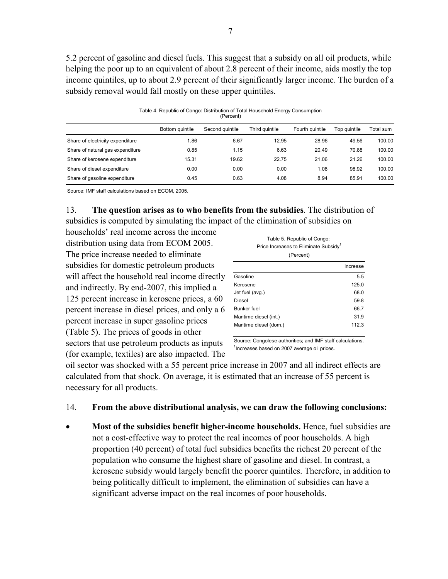5.2 percent of gasoline and diesel fuels. This suggest that a subsidy on all oil products, while helping the poor up to an equivalent of about 2.8 percent of their income, aids mostly the top income quintiles, up to about 2.9 percent of their significantly larger income. The burden of a subsidy removal would fall mostly on these upper quintiles.

Table 4. Republic of Congo: Distribution of Total Household Energy Consumption (Percent)

|                                  | Bottom quintile | Second quintile | Third quintile | Fourth quintile | Top quintile | Total sum |
|----------------------------------|-----------------|-----------------|----------------|-----------------|--------------|-----------|
| Share of electricity expenditure | 1.86            | 6.67            | 12.95          | 28.96           | 49.56        | 100.00    |
| Share of natural gas expenditure | 0.85            | 1.15            | 6.63           | 20.49           | 70.88        | 100.00    |
| Share of kerosene expenditure    | 15.31           | 19.62           | 22.75          | 21.06           | 21.26        | 100.00    |
| Share of diesel expenditure      | 0.00            | 0.00            | 0.00           | 1.08            | 98.92        | 100.00    |
| Share of gasoline expenditure    | 0.45            | 0.63            | 4.08           | 8.94            | 85.91        | 100.00    |

Source: IMF staff calculations based on ECOM, 2005.

13. **The question arises as to who benefits from the subsidies**. The distribution of subsidies is computed by simulating the impact of the elimination of subsidies on

households' real income across the income distribution using data from ECOM 2005. The price increase needed to eliminate subsidies for domestic petroleum products will affect the household real income directly and indirectly. By end-2007, this implied a 125 percent increase in kerosene prices, a 60 percent increase in diesel prices, and only a 6 percent increase in super gasoline prices (Table 5). The prices of goods in other sectors that use petroleum products as inputs (for example, textiles) are also impacted. The

Table 5. Republic of Congo: Price Increases to Eliminate Subsidy<sup>1</sup> (Percent)

|                        | Increase |
|------------------------|----------|
| Gasoline               | 5.5      |
| Kerosene               | 125.0    |
| Jet fuel (avg.)        | 68.0     |
| Diesel                 | 59.8     |
| Bunker fuel            | 66.7     |
| Maritime diesel (int.) | 31.9     |
| Maritime diesel (dom.) | 112.3    |
|                        |          |

Source: Congolese authorities; and IMF staff calculations. <sup>1</sup> Increases based on 2007 average oil prices.

oil sector was shocked with a 55 percent price increase in 2007 and all indirect effects are calculated from that shock. On average, it is estimated that an increase of 55 percent is necessary for all products.

## 14. **From the above distributional analysis, we can draw the following conclusions:**

• **Most of the subsidies benefit higher-income households.** Hence, fuel subsidies are not a cost-effective way to protect the real incomes of poor households. A high proportion (40 percent) of total fuel subsidies benefits the richest 20 percent of the population who consume the highest share of gasoline and diesel. In contrast, a kerosene subsidy would largely benefit the poorer quintiles. Therefore, in addition to being politically difficult to implement, the elimination of subsidies can have a significant adverse impact on the real incomes of poor households.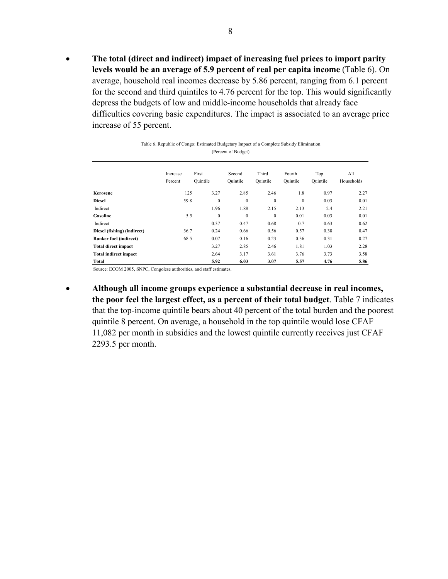• **The total (direct and indirect) impact of increasing fuel prices to import parity levels would be an average of 5.9 percent of real per capita income** (Table 6). On average, household real incomes decrease by 5.86 percent, ranging from 6.1 percent for the second and third quintiles to 4.76 percent for the top. This would significantly depress the budgets of low and middle-income households that already face difficulties covering basic expenditures. The impact is associated to an average price increase of 55 percent.

| (Fercent of Dudget)           |                     |                   |              |                    |                   |                    |                 |                   |  |  |
|-------------------------------|---------------------|-------------------|--------------|--------------------|-------------------|--------------------|-----------------|-------------------|--|--|
|                               | Increase<br>Percent | First<br>Quintile |              | Second<br>Ouintile | Third<br>Ouintile | Fourth<br>Ouintile | Top<br>Quintile | All<br>Households |  |  |
| Kerosene                      |                     | 125               | 3.27         | 2.85               | 2.46              | 1.8                | 0.97            | 2.27              |  |  |
| <b>Diesel</b>                 |                     | 59.8              | $\mathbf{0}$ | $\mathbf{0}$       | $\theta$          | $\mathbf{0}$       | 0.03            | 0.01              |  |  |
| Indirect                      |                     |                   | 1.96         | 1.88               | 2.15              | 2.13               | 2.4             | 2.21              |  |  |
| Gasoline                      |                     | 5.5               | $\mathbf{0}$ | $\mathbf{0}$       | $\theta$          | 0.01               | 0.03            | 0.01              |  |  |
| Indirect                      |                     |                   | 0.37         | 0.47               | 0.68              | 0.7                | 0.63            | 0.62              |  |  |
| Diesel (fishing) (indirect)   |                     | 36.7              | 0.24         | 0.66               | 0.56              | 0.57               | 0.38            | 0.47              |  |  |
| <b>Bunker fuel (indirect)</b> |                     | 68.5              | 0.07         | 0.16               | 0.23              | 0.36               | 0.31            | 0.27              |  |  |
| <b>Total direct impact</b>    |                     |                   | 3.27         | 2.85               | 2.46              | 1.81               | 1.03            | 2.28              |  |  |
| <b>Total indirect impact</b>  |                     |                   | 2.64         | 3.17               | 3.61              | 3.76               | 3.73            | 3.58              |  |  |
| Total                         |                     |                   | 5.92         | 6.03               | 3.07              | 5.57               | 4.76            | 5.86              |  |  |

Table 6. Republic of Congo: Estimated Budgetary Impact of a Complete Subsidy Elimination (Percent of Budget)

Source: ECOM 2005, SNPC, Congolese authorities, and staff estimates.

• **Although all income groups experience a substantial decrease in real incomes, the poor feel the largest effect, as a percent of their total budget**. Table 7 indicates that the top-income quintile bears about 40 percent of the total burden and the poorest quintile 8 percent. On average, a household in the top quintile would lose CFAF 11,082 per month in subsidies and the lowest quintile currently receives just CFAF 2293.5 per month.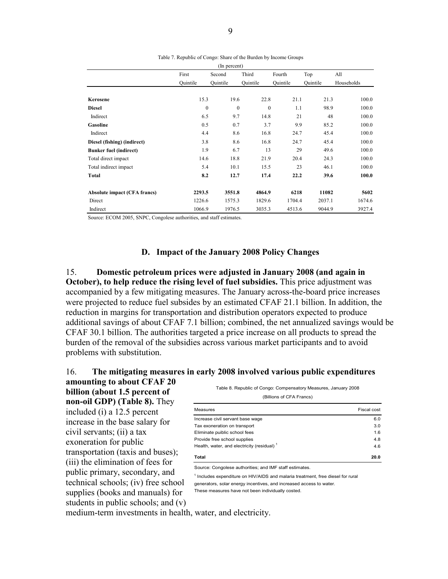|                                     |              | (In percent) |              |          |          |            |
|-------------------------------------|--------------|--------------|--------------|----------|----------|------------|
|                                     | First        | Second       | Third        | Fourth   | Top      | All        |
|                                     | Ouintile     | Ouintile     | Ouintile     | Ouintile | Ouintile | Households |
|                                     |              |              |              |          |          |            |
| Kerosene                            | 15.3         | 19.6         | 22.8         | 21.1     | 21.3     | 100.0      |
| <b>Diesel</b>                       | $\mathbf{0}$ | $\mathbf{0}$ | $\mathbf{0}$ | 1.1      | 98.9     | 100.0      |
| Indirect                            | 6.5          | 9.7          | 14.8         | 21       | 48       | 100.0      |
| Gasoline                            | 0.5          | 0.7          | 3.7          | 9.9      | 85.2     | 100.0      |
| Indirect                            | 4.4          | 8.6          | 16.8         | 24.7     | 45.4     | 100.0      |
| Diesel (fishing) (indirect)         | 3.8          | 8.6          | 16.8         | 24.7     | 45.4     | 100.0      |
| <b>Bunker fuel (indirect)</b>       | 1.9          | 6.7          | 13           | 29       | 49.6     | 100.0      |
| Total direct impact                 | 14.6         | 18.8         | 21.9         | 20.4     | 24.3     | 100.0      |
| Total indirect impact               | 5.4          | 10.1         | 15.5         | 23       | 46.1     | 100.0      |
| Total                               | 8.2          | 12.7         | 17.4         | 22.2     | 39.6     | 100.0      |
| <b>Absolute impact (CFA francs)</b> | 2293.5       | 3551.8       | 4864.9       | 6218     | 11082    | 5602       |
| Direct                              | 1226.6       | 1575.3       | 1829.6       | 1704.4   | 2037.1   | 1674.6     |
| Indirect                            | 1066.9       | 1976.5       | 3035.3       | 4513.6   | 9044.9   | 3927.4     |

Table 7. Republic of Congo: Share of the Burden by Income Groups

Source: ECOM 2005, SNPC, Congolese authorities, and staff estimates.

#### **D. Impact of the January 2008 Policy Changes**

15. **Domestic petroleum prices were adjusted in January 2008 (and again in October), to help reduce the rising level of fuel subsidies.** This price adjustment was accompanied by a few mitigating measures. The January across-the-board price increases were projected to reduce fuel subsides by an estimated CFAF 21.1 billion. In addition, the reduction in margins for transportation and distribution operators expected to produce additional savings of about CFAF 7.1 billion; combined, the net annualized savings would be CFAF 30.1 billion. The authorities targeted a price increase on all products to spread the burden of the removal of the subsidies across various market participants and to avoid problems with substitution.

#### 16. **The mitigating measures in early 2008 involved various public expenditures amounting to about CFAF 20**

**billion (about 1.5 percent of non-oil GDP) (Table 8).** They included (i) a 12.5 percent increase in the base salary for civil servants; (ii) a tax exoneration for public transportation (taxis and buses); (iii) the elimination of fees for public primary, secondary, and technical schools; (iv) free school supplies (books and manuals) for students in public schools; and (v) Table 8. Republic of Congo: Compensatory Measures, January 2008

| (Billions of CFA Francs) |  |  |  |
|--------------------------|--|--|--|
|--------------------------|--|--|--|

| Measures                                      | Fiscal cost |
|-----------------------------------------------|-------------|
| Increase civil servant base wage              | 6.0         |
| Tax exoneration on transport                  | 3.0         |
| Eliminate puiblic school fees                 | 1.6         |
| Provide free school supplies                  | 4.8         |
| Health, water, and electricity (residual) $1$ | 4.6         |
| Total                                         | 20.0        |

Source: Congolese authorities: and IMF staff estimates.

<sup>1</sup> Includes expenditure on HIV/AIDS and malaria treatment, free diesel for rural generators, solar energy incentives, and increased access to water. These measures have not been individually costed.

medium-term investments in health, water, and electricity.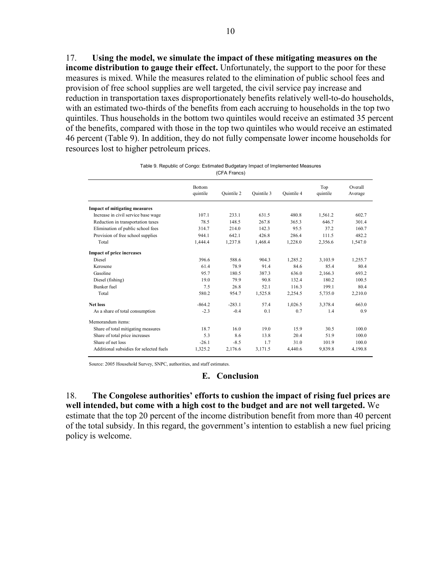17. **Using the model, we simulate the impact of these mitigating measures on the income distribution to gauge their effect.** Unfortunately, the support to the poor for these measures is mixed. While the measures related to the elimination of public school fees and provision of free school supplies are well targeted, the civil service pay increase and reduction in transportation taxes disproportionately benefits relatively well-to-do households, with an estimated two-thirds of the benefits from each accruing to households in the top two quintiles. Thus households in the bottom two quintiles would receive an estimated 35 percent of the benefits, compared with those in the top two quintiles who would receive an estimated 46 percent (Table 9). In addition, they do not fully compensate lower income households for resources lost to higher petroleum prices.

|                                         | <b>Bottom</b><br>quintile | Ouintile 2 | Ouintile 3 | Quintile 4 | Top<br>quintile | Overall<br>Average |
|-----------------------------------------|---------------------------|------------|------------|------------|-----------------|--------------------|
| <b>Impact of mitigating measures</b>    |                           |            |            |            |                 |                    |
| Increase in civil service base wage     | 107.1                     | 233.1      | 631.5      | 480.8      | 1,561.2         | 602.7              |
| Reduction in transportation taxes       | 78.5                      | 148.5      | 267.8      | 365.3      | 646.7           | 301.4              |
| Elimination of public school fees       | 314.7                     | 214.0      | 142.3      | 95.5       | 37.2            | 160.7              |
| Provision of free school supplies       | 944.1                     | 642.1      | 426.8      | 2864       | 111.5           | 482.2              |
| Total                                   | 1,444.4                   | 1,237.8    | 1,468.4    | 1,228.0    | 2,356.6         | 1,547.0            |
| <b>Impact of price increases</b>        |                           |            |            |            |                 |                    |
| Diesel                                  | 396.6                     | 588.6      | 9043       | 1.285.2    | 3,103.9         | 1,255.7            |
| Kerosene                                | 61.4                      | 78.9       | 91.4       | 84.6       | 85.4            | 80.4               |
| Gasoline                                | 95.7                      | 180.5      | 387.3      | 636.0      | 2.166.3         | 693.2              |
| Diesel (fishing)                        | 19.0                      | 79.9       | 90.8       | 132.4      | 180.2           | 100.5              |
| <b>Bunker</b> fuel                      | 7.5                       | 26.8       | 52.1       | 116.3      | 199.1           | 80.4               |
| Total                                   | 580.2                     | 954.7      | 1,525.8    | 2,254.5    | 5,735.0         | 2,210.0            |
| <b>Net loss</b>                         | $-864.2$                  | $-283.1$   | 57.4       | 1,026.5    | 3.378.4         | 663.0              |
| As a share of total consumption         | $-2.3$                    | $-0.4$     | 0.1        | 0.7        | 14              | 0.9                |
| Memorandum items:                       |                           |            |            |            |                 |                    |
| Share of total mitigating measures      | 18.7                      | 16.0       | 19.0       | 15.9       | 30.5            | 100.0              |
| Share of total price increases          | 5.3                       | 8.6        | 13.8       | 20.4       | 51.9            | 100.0              |
| Share of net loss                       | $-26.1$                   | $-8.5$     | 1.7        | 31.0       | 101.9           | 100.0              |
| Additional subsidies for selected fuels | 1,325.2                   | 2,176.6    | 3,171.5    | 4,440.6    | 9,839.8         | 4,190.8            |

Table 9. Republic of Congo: Estimated Budgetary Impact of Implemented Measures (CFA Francs)

Source: 2005 Household Survey, SNPC, authorities, and staff estimates.

#### **E. Conclusion**

18. **The Congolese authorities' efforts to cushion the impact of rising fuel prices are well intended, but come with a high cost to the budget and are not well targeted.** We estimate that the top 20 percent of the income distribution benefit from more than 40 percent of the total subsidy. In this regard, the government's intention to establish a new fuel pricing policy is welcome.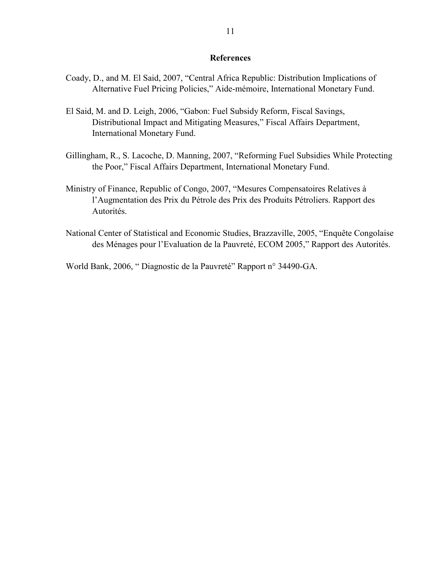#### **References**

- Coady, D., and M. El Said, 2007, "Central Africa Republic: Distribution Implications of Alternative Fuel Pricing Policies," Aide-mémoire, International Monetary Fund.
- El Said, M. and D. Leigh, 2006, "Gabon: Fuel Subsidy Reform, Fiscal Savings, Distributional Impact and Mitigating Measures," Fiscal Affairs Department, International Monetary Fund.
- Gillingham, R., S. Lacoche, D. Manning, 2007, "Reforming Fuel Subsidies While Protecting the Poor," Fiscal Affairs Department, International Monetary Fund.
- Ministry of Finance, Republic of Congo, 2007, "Mesures Compensatoires Relatives à l'Augmentation des Prix du Pétrole des Prix des Produits Pétroliers. Rapport des Autorités.
- National Center of Statistical and Economic Studies, Brazzaville, 2005, "Enquête Congolaise des Ménages pour l'Evaluation de la Pauvreté, ECOM 2005," Rapport des Autorités.

World Bank, 2006, " Diagnostic de la Pauvreté" Rapport n° 34490-GA.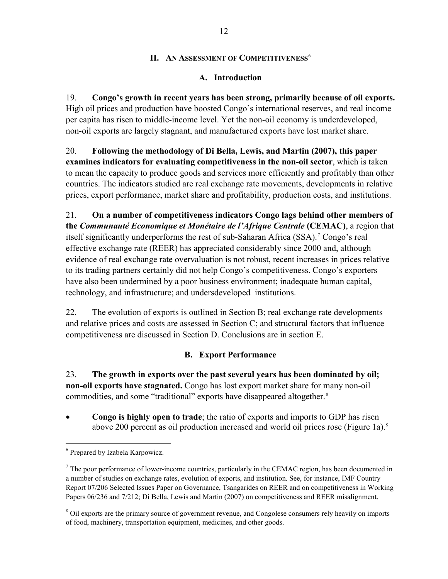## **II. AN ASSESSMENT OF COMPETITIVENESS<sup>[6](#page-13-0)</sup>**

## **A. Introduction**

19. **Congo's growth in recent years has been strong, primarily because of oil exports.** High oil prices and production have boosted Congo's international reserves, and real income per capita has risen to middle-income level. Yet the non-oil economy is underdeveloped, non-oil exports are largely stagnant, and manufactured exports have lost market share.

20. **Following the methodology of Di Bella, Lewis, and Martin (2007), this paper examines indicators for evaluating competitiveness in the non-oil sector**, which is taken to mean the capacity to produce goods and services more efficiently and profitably than other countries. The indicators studied are real exchange rate movements, developments in relative prices, export performance, market share and profitability, production costs, and institutions.

21. **On a number of competitiveness indicators Congo lags behind other members of the** *Communauté Economique et Monétaire de l'Afrique Centrale* **(CEMAC)**, a region that itself significantly underperforms the rest of sub-Saharan Africa (SSA).<sup>[7](#page-13-1)</sup> Congo's real effective exchange rate (REER) has appreciated considerably since 2000 and, although evidence of real exchange rate overvaluation is not robust, recent increases in prices relative to its trading partners certainly did not help Congo's competitiveness. Congo's exporters have also been undermined by a poor business environment; inadequate human capital, technology, and infrastructure; and undersdeveloped institutions.

22. The evolution of exports is outlined in Section B; real exchange rate developments and relative prices and costs are assessed in Section C; and structural factors that influence competitiveness are discussed in Section D. Conclusions are in section E.

## **B. Export Performance**

23. **The growth in exports over the past several years has been dominated by oil; non-oil exports have stagnated.** Congo has lost export market share for many non-oil commodities, and some "traditional" exports have disappeared altogether.<sup>[8](#page-13-2)</sup>

• **Congo is highly open to trade**; the ratio of exports and imports to GDP has risen above 200 percent as oil production increased and world oil prices rose (Figure 1a).<sup>[9](#page-13-3)</sup>

<span id="page-13-0"></span><sup>6</sup> Prepared by Izabela Karpowicz.

<span id="page-13-1"></span> $<sup>7</sup>$  The poor performance of lower-income countries, particularly in the CEMAC region, has been documented in</sup> a number of studies on exchange rates, evolution of exports, and institution. See, for instance, IMF Country Report 07/206 Selected Issues Paper on Governance, Tsangarides on REER and on competitiveness in Working Papers 06/236 and 7/212; Di Bella, Lewis and Martin (2007) on competitiveness and REER misalignment.

<span id="page-13-3"></span><span id="page-13-2"></span><sup>&</sup>lt;sup>8</sup> Oil exports are the primary source of government revenue, and Congolese consumers rely heavily on imports of food, machinery, transportation equipment, medicines, and other goods.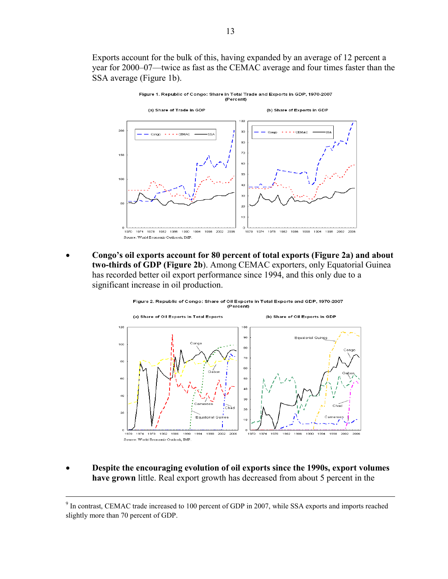Exports account for the bulk of this, having expanded by an average of 12 percent a year for 2000–07—twice as fast as the CEMAC average and four times faster than the SSA average (Figure 1b).



• **Congo's oil exports account for 80 percent of total exports (Figure 2a) and about two-thirds of GDP (Figure 2b**). Among CEMAC exporters, only Equatorial Guinea has recorded better oil export performance since 1994, and this only due to a significant increase in oil production.



• **Despite the encouraging evolution of oil exports since the 1990s, export volumes have grown** little. Real export growth has decreased from about 5 percent in the

<sup>-&</sup>lt;br>9 <sup>9</sup> In contrast, CEMAC trade increased to 100 percent of GDP in 2007, while SSA exports and imports reached slightly more than 70 percent of GDP.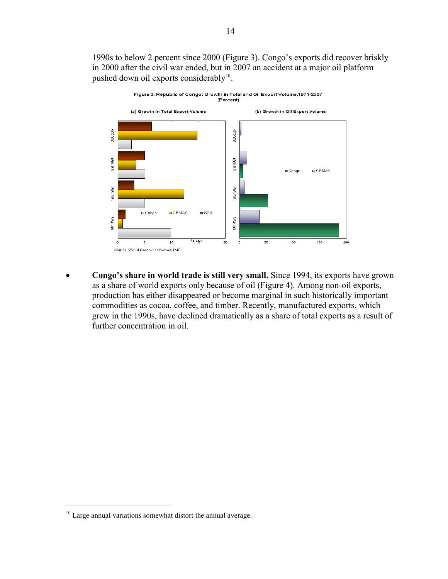1990s to below 2 percent since 2000 (Figure 3). Congo's exports did recover briskly in 2000 after the civil war ended, but in 2007 an accident at a major oil platform pushed down oil exports considerably<sup>10</sup>.



• **Congo's share in world trade is still very small.** Since 1994, its exports have grown as a share of world exports only because of oil (Figure 4). Among non-oil exports, production has either disappeared or become marginal in such historically important commodities as cocoa, coffee, and timber. Recently, manufactured exports, which grew in the 1990s, have declined dramatically as a share of total exports as a result of further concentration in oil.

<sup>&</sup>lt;sup>10</sup> Large annual variations somewhat distort the annual average.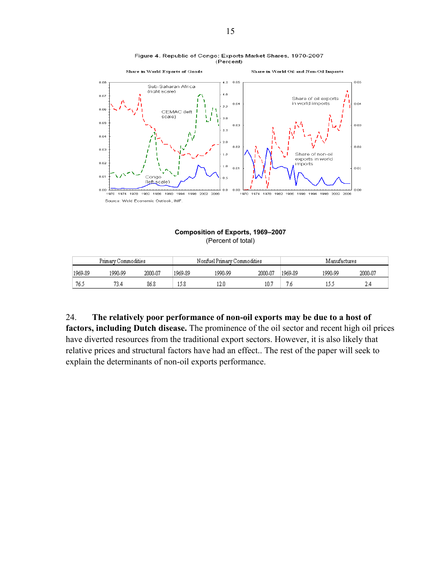

#### Figure 4. Republic of Congo: Exports Market Shares, 1970-2007 (Percent)

**Composition of Exports, 1969–2007**  (Percent of total)

| Primary Commodities |         |         |         | Nonfuel Primary Commodities |         | Manufactures |         |         |  |
|---------------------|---------|---------|---------|-----------------------------|---------|--------------|---------|---------|--|
| 1969-89             | 1990-99 | 2000-07 | 1969-89 | 1990-99                     | 2000-07 | 1969-89      | 1990-99 | 2000-07 |  |
| 76.5                | 73.4    | 86.8    | 15.8    | 12.0                        | 10.7    | 7.6          |         | 2,4     |  |

24. **The relatively poor performance of non-oil exports may be due to a host of factors, including Dutch disease.** The prominence of the oil sector and recent high oil prices have diverted resources from the traditional export sectors. However, it is also likely that relative prices and structural factors have had an effect.. The rest of the paper will seek to explain the determinants of non-oil exports performance.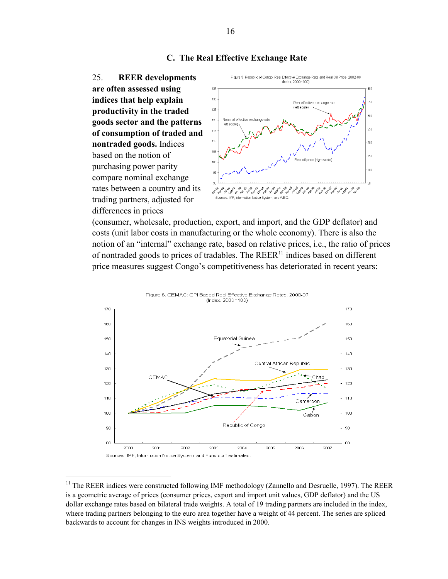

25. **REER developments are often assessed using indices that help explain productivity in the traded goods sector and the patterns of consumption of traded and nontraded goods.** Indices based on the notion of purchasing power parity compare nominal exchange rates between a country and its trading partners, adjusted for differences in prices

 $\overline{a}$ 



(consumer, wholesale, production, export, and import, and the GDP deflator) and costs (unit labor costs in manufacturing or the whole economy). There is also the notion of an "internal" exchange rate, based on relative prices, i.e., the ratio of prices of nontraded goods to prices of tradables. The  $REER<sup>11</sup>$  $REER<sup>11</sup>$  $REER<sup>11</sup>$  indices based on different price measures suggest Congo's competitiveness has deteriorated in recent years:



<span id="page-17-0"></span><sup>&</sup>lt;sup>11</sup> The REER indices were constructed following IMF methodology (Zannello and Desruelle, 1997). The REER is a geometric average of prices (consumer prices, export and import unit values, GDP deflator) and the US dollar exchange rates based on bilateral trade weights. A total of 19 trading partners are included in the index, where trading partners belonging to the euro area together have a weight of 44 percent. The series are spliced backwards to account for changes in INS weights introduced in 2000.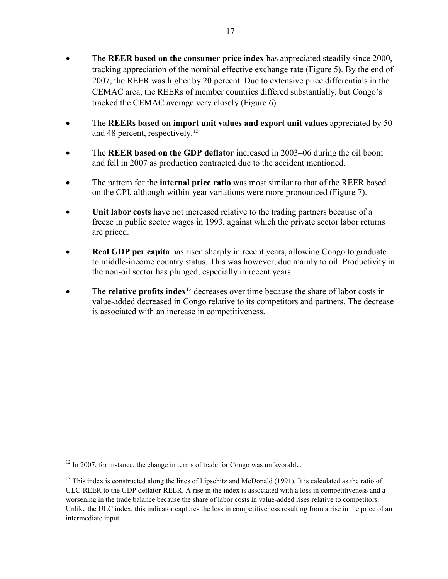- The **REER based on the consumer price index** has appreciated steadily since 2000, tracking appreciation of the nominal effective exchange rate (Figure 5). By the end of 2007, the REER was higher by 20 percent. Due to extensive price differentials in the CEMAC area, the REERs of member countries differed substantially, but Congo's tracked the CEMAC average very closely (Figure 6).
- The **REERs based on import unit values and export unit values** appreciated by 50 and 48 percent, respectively.<sup>[12](#page-18-0)</sup>
- The **REER based on the GDP deflator** increased in 2003–06 during the oil boom and fell in 2007 as production contracted due to the accident mentioned.
- The pattern for the **internal price ratio** was most similar to that of the REER based on the CPI, although within-year variations were more pronounced (Figure 7).
- **Unit labor costs** have not increased relative to the trading partners because of a freeze in public sector wages in 1993, against which the private sector labor returns are priced.
- **Real GDP per capita** has risen sharply in recent years, allowing Congo to graduate to middle-income country status. This was however, due mainly to oil. Productivity in the non-oil sector has plunged, especially in recent years.
- The **relative profits index**<sup>[13](#page-18-1)</sup> decreases over time because the share of labor costs in value-added decreased in Congo relative to its competitors and partners. The decrease is associated with an increase in competitiveness.

<span id="page-18-0"></span> $12$  In 2007, for instance, the change in terms of trade for Congo was unfavorable.

<span id="page-18-1"></span><sup>&</sup>lt;sup>13</sup> This index is constructed along the lines of Lipschitz and McDonald (1991). It is calculated as the ratio of ULC-REER to the GDP deflator-REER. A rise in the index is associated with a loss in competitiveness and a worsening in the trade balance because the share of labor costs in value-added rises relative to competitors. Unlike the ULC index, this indicator captures the loss in competitiveness resulting from a rise in the price of an intermediate input.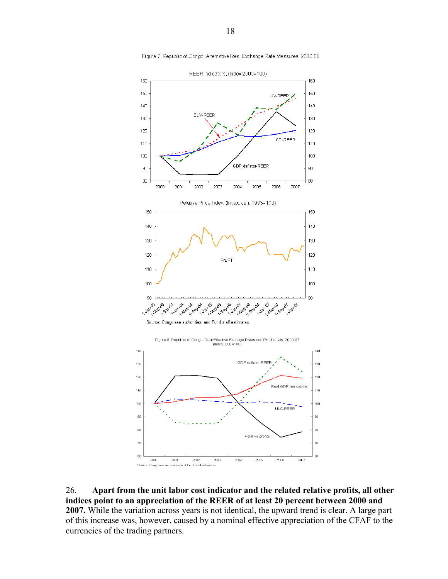

Figure 7. Republic of Congo: Alternative Real Exchange Rate Measures, 2000-08

26. **Apart from the unit labor cost indicator and the related relative profits, all other indices point to an appreciation of the REER of at least 20 percent between 2000 and 2007.** While the variation across years is not identical, the upward trend is clear. A large part of this increase was, however, caused by a nominal effective appreciation of the CFAF to the currencies of the trading partners.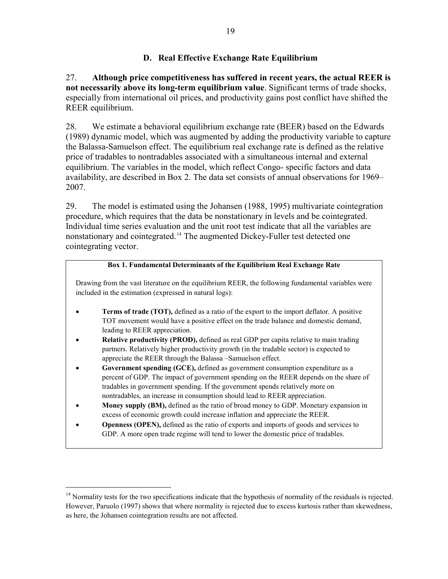## **D. Real Effective Exchange Rate Equilibrium**

## <span id="page-20-0"></span>27. **Although price competitiveness has suffered in recent years, the actual REER is not necessarily above its long-term equilibrium value**. Significant terms of trade shocks, especially from international oil prices, and productivity gains post conflict have shifted the REER equilibrium.

28. We estimate a behavioral equilibrium exchange rate (BEER) based on the Edwards (1989) dynamic model, which was augmented by adding the productivity variable to capture the Balassa-Samuelson effect. The equilibrium real exchange rate is defined as the relative price of tradables to nontradables associated with a simultaneous internal and external equilibrium. The variables in the model, which reflect Congo- specific factors and data availability, are described in Box 2. The data set consists of annual observations for 1969– 2007.

29. The model is estimated using the Johansen (1988, 1995) multivariate cointegration procedure, which requires that the data be nonstationary in levels and be cointegrated. Individual time series evaluation and the unit root test indicate that all the variables are nonstationary and cointegrated.<sup>[14](#page-20-1)</sup> The augmented Dickey-Fuller test detected one cointegrating vector.

#### **Box 1. Fundamental Determinants of the Equilibrium Real Exchange Rate**

Drawing from the vast literature on the equilibrium REER, the following fundamental variables were included in the estimation (expressed in natural logs):

- **Terms of trade (TOT),** defined as a ratio of the export to the import deflator. A positive TOT movement would have a positive effect on the trade balance and domestic demand, leading to REER appreciation.
- **Relative productivity (PROD),** defined as real GDP per capita relative to main trading partners. Relatively higher productivity growth (in the tradable sector) is expected to appreciate the REER through the Balassa –Samuelson effect.
- **Government spending (GCE),** defined as government consumption expenditure as a percent of GDP. The impact of government spending on the REER depends on the share of tradables in government spending. If the government spends relatively more on nontradables, an increase in consumption should lead to REER appreciation.
- **Money supply (BM),** defined as the ratio of broad money to GDP. Monetary expansion in excess of economic growth could increase inflation and appreciate the REER.
- **Openness (OPEN),** defined as the ratio of exports and imports of goods and services to GDP. A more open trade regime will tend to lower the domestic price of tradables.

<span id="page-20-1"></span><sup>&</sup>lt;sup>14</sup> Normality tests for the two specifications indicate that the hypothesis of normality of the residuals is rejected. However, Paruolo (1997) shows that where normality is rejected due to excess kurtosis rather than skewedness, as here, the Johansen cointegration results are not affected.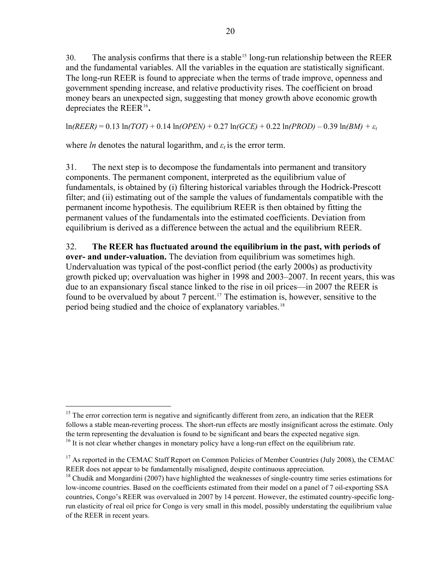$30.$  The analysis confirms that there is a stable<sup>[15](#page-21-0)</sup> long-run relationship between the REER and the fundamental variables. All the variables in the equation are statistically significant. The long-run REER is found to appreciate when the terms of trade improve, openness and government spending increase, and relative productivity rises. The coefficient on broad money bears an unexpected sign, suggesting that money growth above economic growth depreciates the REER[16](#page-21-1)**.**

ln*(REER)* = 0.13 ln*(TOT)* + 0.14 ln*(OPEN)* + 0.27 ln*(GCE)* + 0.22 ln*(PROD)* – 0.39 ln*(BM) + ε<sup>t</sup>*

where *ln* denotes the natural logarithm, and  $\varepsilon_t$  is the error term.

 $\overline{a}$ 

31. The next step is to decompose the fundamentals into permanent and transitory components. The permanent component, interpreted as the equilibrium value of fundamentals, is obtained by (i) filtering historical variables through the Hodrick-Prescott filter; and (ii) estimating out of the sample the values of fundamentals compatible with the permanent income hypothesis. The equilibrium REER is then obtained by fitting the permanent values of the fundamentals into the estimated coefficients. Deviation from equilibrium is derived as a difference between the actual and the equilibrium REER.

32. **The REER has fluctuated around the equilibrium in the past, with periods of over- and under-valuation.** The deviation from equilibrium was sometimes high. Undervaluation was typical of the post-conflict period (the early 2000s) as productivity growth picked up; overvaluation was higher in 1998 and 2003–2007. In recent years, this was due to an expansionary fiscal stance linked to the rise in oil prices—in 2007 the REER is found to be overvalued by about 7 percent.<sup>[17](#page-22-0)</sup> The estimation is, however, sensitive to the period being studied and the choice of explanatory variables.<sup>[18](#page-22-1)</sup>

<span id="page-21-0"></span><sup>&</sup>lt;sup>15</sup> The error correction term is negative and significantly different from zero, an indication that the REER follows a stable mean-reverting process. The short-run effects are mostly insignificant across the estimate. Only the term representing the devaluation is found to be significant and bears the expected negative sign.  $16$  It is not clear whether changes in monetary policy have a long-run effect on the equilibrium rate.

<span id="page-21-1"></span><sup>&</sup>lt;sup>17</sup> As reported in the CEMAC Staff Report on Common Policies of Member Countries (July 2008), the CEMAC REER does not appear to be fundamentally misaligned, despite continuous appreciation.

 $18$  Chudik and Mongardini (2007) have highlighted the weaknesses of single-country time series estimations for low-income countries. Based on the coefficients estimated from their model on a panel of 7 oil-exporting SSA countries, Congo's REER was overvalued in 2007 by 14 percent. However, the estimated country-specific longrun elasticity of real oil price for Congo is very small in this model, possibly understating the equilibrium value of the REER in recent years.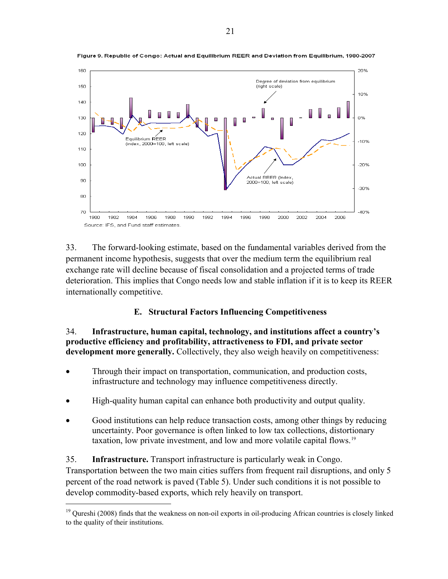

Figure 9. Republic of Congo: Actual and Equilibrium REER and Deviation from Equilibrium, 1980-2007

33. The forward-looking estimate, based on the fundamental variables derived from the permanent income hypothesis, suggests that over the medium term the equilibrium real exchange rate will decline because of fiscal consolidation and a projected terms of trade deterioration. This implies that Congo needs low and stable inflation if it is to keep its REER internationally competitive.

## **E. Structural Factors Influencing Competitiveness**

34. **Infrastructure, human capital, technology, and institutions affect a country's productive efficiency and profitability, attractiveness to FDI, and private sector development more generally.** Collectively, they also weigh heavily on competitiveness:

- Through their impact on transportation, communication, and production costs, infrastructure and technology may influence competitiveness directly.
- High-quality human capital can enhance both productivity and output quality.
- Good institutions can help reduce transaction costs, among other things by reducing uncertainty. Poor governance is often linked to low tax collections, distortionary taxation, low private investment, and low and more volatile capital flows.[19](#page-23-0)

## <span id="page-22-0"></span>35. **Infrastructure.** Transport infrastructure is particularly weak in Congo.

 $\overline{a}$ 

<span id="page-22-1"></span>Transportation between the two main cities suffers from frequent rail disruptions, and only 5 percent of the road network is paved (Table 5). Under such conditions it is not possible to develop commodity-based exports, which rely heavily on transport.

<sup>&</sup>lt;sup>19</sup> Oureshi (2008) finds that the weakness on non-oil exports in oil-producing African countries is closely linked to the quality of their institutions.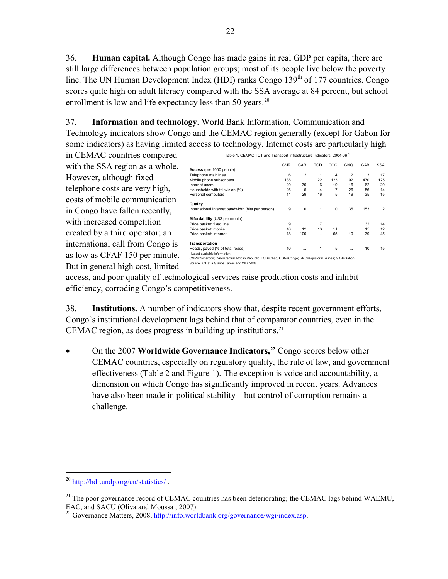36. **Human capital.** Although Congo has made gains in real GDP per capita, there are still large differences between population groups; most of its people live below the poverty line. The UN Human Development Index (HDI) ranks Congo  $139<sup>th</sup>$  of 177 countries. Congo scores quite high on adult literacy compared with the SSA average at 84 percent, but school enrollment is low and life expectancy less than 50 years.<sup>[20](#page-23-1)</sup>

37. **Information and technology**. World Bank Information, Communication and Technology indicators show Congo and the CEMAC region generally (except for Gabon for some indicators) as having limited access to technology. Internet costs are particularly high

in CEMAC countries compared with the SSA region as a whole. However, although fixed telephone costs are very high, costs of mobile communication in Congo have fallen recently, with increased competition created by a third operator; an international call from Congo is as low as CFAF 150 per minute. But in general high cost, limited

|                                                    | <b>CMR</b> | CAR            | TCD      | COG      | <b>GNQ</b> | GAB | <b>SSA</b> |
|----------------------------------------------------|------------|----------------|----------|----------|------------|-----|------------|
| Access (per 1000 people)                           |            |                |          |          |            |     |            |
| Telephone mainlines                                | 6          | $\overline{2}$ |          | 4        | 2          | 3   | 17         |
| Mobile phone subscribers                           | 138        | $\cdots$       | 22       | 123      | 192        | 470 | 125        |
| Internet users                                     | 20         | 30             | 6        | 19       | 16         | 62  | 29         |
| Households with television (%)                     | 26         | 5              | 4        | 7        | 26         | 56  | 14         |
| Personal computers                                 | 11         | 29             | 16       | 5        | 19         | 35  | 15         |
| Quality                                            |            |                |          |          |            |     |            |
| International Internet bandwidth (bits per person) | 9          | $\mathbf 0$    | 1        | 0        | 35         | 153 | 2          |
| Affordability (US\$ per month)                     |            |                |          |          |            |     |            |
| Price basket: fixed line                           | 9          | $\cdots$       | 17       | $\cdots$ | $\cdots$   | 32  | 14         |
| Price basket: mobile                               | 16         | 12             | 13       | 11       | $\cdots$   | 15  | 12         |
| Price basket: Internet                             | 18         | 100            | $\cdots$ | 65       | 10         | 39  | 45         |
| Transportation                                     |            |                |          |          |            |     |            |
| Roads, paved (% of total roads)                    | 10         | $\cdots$       |          | 5        | $\cdots$   | 10  | 15         |
| <sup>1</sup> Latest available information.         |            |                |          |          |            |     |            |

Table 1. CEMAC: ICT and Transport Infrastructure Indicators, 2004-06<sup>1</sup>

<sup>1</sup> Latest available information.<br>CMR=Cameroon; CAR=Central African Republic; TCD=Chad, COG=Congo; GNQ=Equatoral Guinea; GAB=Gabon.<br>Source: ICT at a Glance Tables and WDI 2008.

access, and poor quality of technological services raise production costs and inhibit efficiency, corroding Congo's competitiveness.

38. **Institutions.** A number of indicators show that, despite recent government efforts, Congo's institutional development lags behind that of comparator countries, even in the CEMAC region, as does progress in building up institutions. $21$ 

• On the 2007 **Worldwide Governance Indicators,[22](#page-24-1)** Congo scores below other CEMAC countries, especially on regulatory quality, the rule of law, and government effectiveness (Table 2 and Figure 1). The exception is voice and accountability, a dimension on which Congo has significantly improved in recent years. Advances have also been made in political stability—but control of corruption remains a challenge.

<span id="page-23-1"></span><sup>20</sup> <http://hdr.undp.org/en/statistics/>.

 $^{21}$  The poor governance record of CEMAC countries has been deteriorating; the CEMAC lags behind WAEMU, EAC, and SACU (Oliva and Moussa , 2007).

<span id="page-23-0"></span><sup>&</sup>lt;sup>22</sup> Governance Matters, 2008, [http://info.worldbank.org/governance/wgi/index.asp.](http://info.worldbank.org/governance/wgi/index.asp)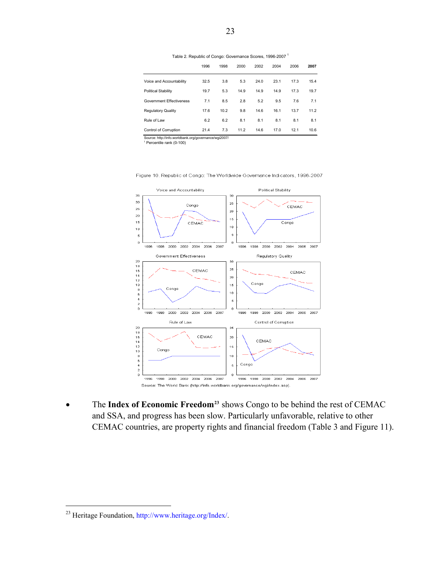Table 2. Republic of Congo: Governance Scores, 1996-2007 1

|                                                       | 1996 | 1998 | 2000 | 2002 | 2004 | 2006 | 2007 |
|-------------------------------------------------------|------|------|------|------|------|------|------|
| Voice and Accountability                              | 32.5 | 3.8  | 5.3  | 24.0 | 23.1 | 17.3 | 15.4 |
| <b>Political Stability</b>                            | 19.7 | 5.3  | 14.9 | 14.9 | 14.9 | 17.3 | 19.7 |
| <b>Government Effectiveness</b>                       | 7.1  | 8.5  | 2.8  | 5.2  | 9.5  | 7.6  | 7.1  |
| <b>Regulatory Quality</b>                             | 17.6 | 10.2 | 9.8  | 14.6 | 16.1 | 13.7 | 11.2 |
| Rule of Law                                           | 6.2  | 6.2  | 8.1  | 8.1  | 8.1  | 8.1  | 8.1  |
| Control of Corruption                                 | 21.4 | 7.3  | 11.2 | 14.6 | 17.0 | 12.1 | 10.6 |
| Source: http://info.worldbank.org/governance/wgi2007/ |      |      |      |      |      |      |      |

1 Percentile rank (0-100)



Figure 10. Republic of Congo: The Worldwide Governance Indicators, 1996-2007

• The **Index of Economic Freedom[23](#page-25-0)** shows Congo to be behind the rest of CEMAC and SSA, and progress has been slow. Particularly unfavorable, relative to other CEMAC countries, are property rights and financial freedom (Table 3 and Figure 11).

<span id="page-24-1"></span><span id="page-24-0"></span><sup>&</sup>lt;sup>23</sup> Heritage Foundation, [http://www.heritage.org/Index/.](http://www.heritage.org/Index/)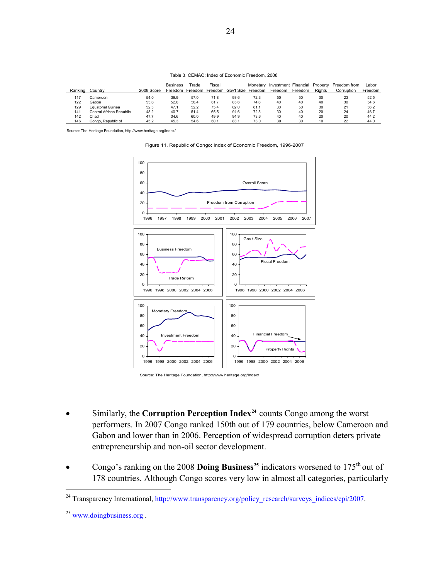| Table 3. CEMAC: Index of Economic Freedom, 2008 |
|-------------------------------------------------|
|-------------------------------------------------|

| Ranking | Countrv                  | 2008 Score | <b>Business</b><br>Freedom | rade<br>Freedom | Fiscal | Freedom Gov't Size Freedom | Monetary | Investment Financial<br>Freedom | Freedom | Property<br><b>Rights</b> | Freedom from<br>Corruption | Labor<br>Freedom |
|---------|--------------------------|------------|----------------------------|-----------------|--------|----------------------------|----------|---------------------------------|---------|---------------------------|----------------------------|------------------|
| 117     | Cameroon                 | 54.0       | 39.9                       | 57.0            | 71.8   | 93.6                       | 72.3     | 50                              | 50      | 30                        | 23                         | 52.5             |
| 122     | Gabon                    | 53.6       | 52.8                       | 56.4            | 61.7   | 85.6                       | 74.6     | 40                              | 40      | 40                        | 30                         | 54.6             |
| 129     | <b>Equatorial Guinea</b> | 52.5       | 47.1                       | 52.2            | 75.4   | 82.0                       | 81.1     | 30                              | 50      | 30                        | 21                         | 56.2             |
| 141     | Central African Republic | 48.2       | 40.7                       | 51.4            | 65.5   | 91.6                       | 72.5     | 30                              | 40      | 20                        | 24                         | 46.7             |
| 142     | Chad                     | 47.7       | 34.6                       | 60.0            | 49.9   | 94.9                       | 73.6     | 40                              | 40      | 20                        | 20                         | 44.2             |
| 146     | Congo, Republic of       | 45.2       | 45.3                       | 54.6            | 60.1   | 83.7                       | 73.0     | 30                              | 30      | 10                        | 22                         | 44.0             |

Source: The Heritage Foundation, http://www.heritage.org/Index/

Figure 11. Republic of Congo: Index of Economic Freedom, 1996-2007



Source: The Heritage Foundation, http://www.heritage.org/Index/

- Similarly, the **Corruption Perception Index[24](#page-26-0)** counts Congo among the worst performers. In 2007 Congo ranked 150th out of 179 countries, below Cameroon and Gabon and lower than in 2006. Perception of widespread corruption deters private entrepreneurship and non-oil sector development.
- Congo's ranking on the 2008 **Doing Business[25](#page-26-1)** indicators worsened to 175th out of 178 countries. Although Congo scores very low in almost all categories, particularly

1

<sup>&</sup>lt;sup>24</sup> Transparency International, [http://www.transparency.org/policy\\_research/surveys\\_indices/cpi/2007.](http://www.transparency.org/policy_research/surveys_indices/cpi/2007)

<span id="page-25-0"></span><sup>&</sup>lt;sup>25</sup> www.doingbusiness.org.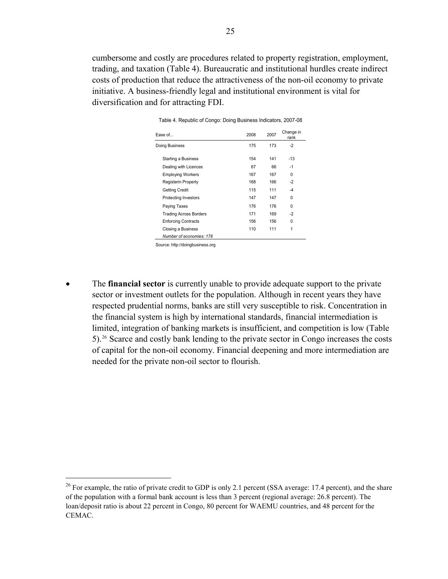cumbersome and costly are procedures related to property registration, employment, trading, and taxation (Table 4). Bureaucratic and institutional hurdles create indirect costs of production that reduce the attractiveness of the non-oil economy to private initiative. A business-friendly legal and institutional environment is vital for diversification and for attracting FDI.

| Ease of                       | 2008 | 2007 | Change in<br>rank |
|-------------------------------|------|------|-------------------|
| Doing Business                | 175  | 173  | $-2$              |
| Starting a Business           | 154  | 141  | $-13$             |
| Dealing with Licences         | 67   | 66   | $-1$              |
| <b>Employing Workers</b>      | 167  | 167  | $\Omega$          |
| Registerin Property           | 168  | 166  | $-2$              |
| <b>Getting Credit</b>         | 115  | 111  | $-4$              |
| Protecting Investors          | 147  | 147  | U                 |
| Paying Taxes                  | 176  | 176  | $\Omega$          |
| <b>Trading Across Borders</b> | 171  | 169  | $-2$              |
| <b>Enforcing Contracts</b>    | 156  | 156  | U                 |
| Closing a Business            | 110  | 111  | 1                 |
| Number of economies: 178      |      |      |                   |
|                               |      |      |                   |

Table 4. Republic of Congo: Doing Business Indicators, 2007-08

Source: http://doingbusiness.org

 $\overline{a}$ 

• The **financial sector** is currently unable to provide adequate support to the private sector or investment outlets for the population. Although in recent years they have respected prudential norms, banks are still very susceptible to risk. Concentration in the financial system is high by international standards, financial intermediation is limited, integration of banking markets is insufficient, and competition is low (Table 5).[26](#page-27-0) Scarce and costly bank lending to the private sector in Congo increases the costs of capital for the non-oil economy. Financial deepening and more intermediation are needed for the private non-oil sector to flourish.

<span id="page-26-1"></span><span id="page-26-0"></span><sup>&</sup>lt;sup>26</sup> For example, the ratio of private credit to GDP is only 2.1 percent (SSA average: 17.4 percent), and the share of the population with a formal bank account is less than 3 percent (regional average: 26.8 percent). The loan/deposit ratio is about 22 percent in Congo, 80 percent for WAEMU countries, and 48 percent for the CEMAC.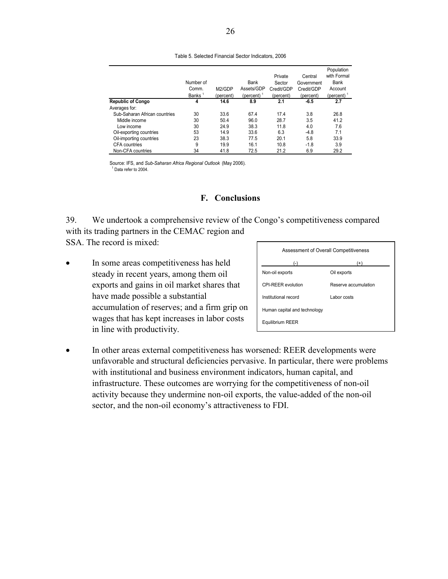|                               | Number of<br>Comm.<br>Banks <sup>1</sup> | M2/GDP<br>(percent) | Bank<br>Assets/GDP<br>(percent) $1$ | Private<br>Sector<br>Credit/GDP<br>(percent) | Central<br>Government<br>Credit/GDP<br>(percent) | Population<br>with Formal<br><b>Bank</b><br>Account<br>(percent) |
|-------------------------------|------------------------------------------|---------------------|-------------------------------------|----------------------------------------------|--------------------------------------------------|------------------------------------------------------------------|
| <b>Republic of Congo</b>      | 4                                        | 14.6                | 8.9                                 | 2.1                                          | $-6.5$                                           | 2.7                                                              |
| Averages for:                 |                                          |                     |                                     |                                              |                                                  |                                                                  |
| Sub-Saharan African countries | 30                                       | 33.6                | 67.4                                | 17.4                                         | 3.8                                              | 26.8                                                             |
| Middle income                 | 30                                       | 50.4                | 96.0                                | 28.7                                         | 3.5                                              | 41.2                                                             |
| Low income                    | 30                                       | 24.9                | 38.3                                | 11.8                                         | 4.0                                              | 7.6                                                              |
| Oil-exporting countries       | 53                                       | 14.9                | 33.6                                | 6.3                                          | $-4.8$                                           | 7.1                                                              |
| Oil-importing countries       | 23                                       | 38.3                | 77.5                                | 20.1                                         | 5.8                                              | 33.9                                                             |
| <b>CFA</b> countries          | 9                                        | 19.9                | 16.1                                | 10.8                                         | $-1.8$                                           | 3.9                                                              |
| Non-CFA countries             | 34                                       | 41.8                | 72.5                                | 21.2                                         | 6.9                                              | 29.2                                                             |

#### Table 5. Selected Financial Sector Indicators, 2006

Source: IFS, and *Sub-Saharan Africa Regional Outlook* (May 2006). <sup>1</sup> Data refer to 2004.

## **F. Conclusions**

39. We undertook a comprehensive review of the Congo's competitiveness compared with its trading partners in the CEMAC region and SSA. The record is mixed:

• In some areas competitiveness has held steady in recent years, among them oil exports and gains in oil market shares that have made possible a substantial accumulation of reserves; and a firm grip on wages that has kept increases in labor costs in line with productivity.

| Assessment of Overall Competitiveness |                      |  |  |
|---------------------------------------|----------------------|--|--|
| (-ا                                   | $(+)$                |  |  |
| Non-oil exports                       | Oil exports          |  |  |
| CPI-RFFR evolution                    | Reserve accumulation |  |  |
| Institutional record                  | I abor costs         |  |  |
| Human capital and technology          |                      |  |  |
| Equilibrium REER                      |                      |  |  |
|                                       |                      |  |  |

<span id="page-27-0"></span>• In other areas external competitiveness has worsened: REER developments were unfavorable and structural deficiencies pervasive. In particular, there were problems with institutional and business environment indicators, human capital, and infrastructure. These outcomes are worrying for the competitiveness of non-oil activity because they undermine non-oil exports, the value-added of the non-oil sector, and the non-oil economy's attractiveness to FDI.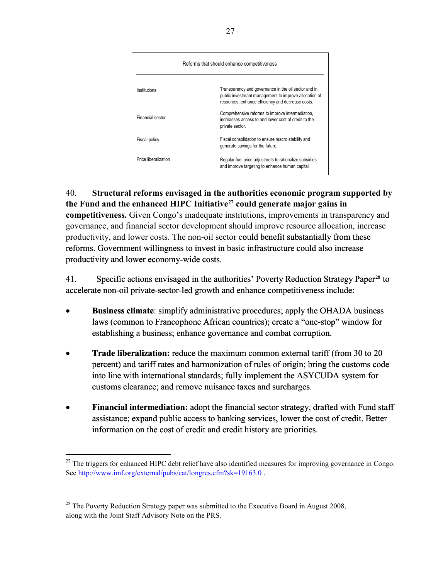| Reforms that should enhance competitiveness |                                                                                                                                                                    |  |
|---------------------------------------------|--------------------------------------------------------------------------------------------------------------------------------------------------------------------|--|
| Institutions                                | Transparency and governance in the oil sector and in<br>public investmant management to improve allocation of<br>resources, enhance efficiency and decrease costs. |  |
| Financial sector                            | Comprehensive reforms to improve intermediation,<br>increasses access to and lower cost of credit to the<br>private sector.                                        |  |
| Fiscal policy                               | Fiscal consolidation to ensure macro stability and<br>generate savings for the future.                                                                             |  |
| Price liberalization                        | Regular fuel price adjustmets to rationalize subsidies<br>and improve targeting to enhance human capital.                                                          |  |

40. **Structural reforms envisaged in the authorities economic program supported by the Fund and the enhanced HIPC Initiative[27](#page-28-0) could generate major gains in competitiveness.** Given Congo's inadequate institutions, improvements in transparency and governance, and financial sector development should improve resource allocation, increase productivity, and lower costs. The non-oil sector could benefit substantially from these reforms. Government willingness to invest in basic infrastructure could also increase productivity and lower economy-wide costs.

41. Specific actions envisaged in the authorities' Poverty Reduction Strategy Paper<sup>[28](#page-29-0)</sup> to accelerate non-oil private-sector-led growth and enhance competitiveness include:

- **Business climate**: simplify administrative procedures; apply the OHADA business laws (common to Francophone African countries); create a "one-stop" window for establishing a business; enhance governance and combat corruption.
- **Trade liberalization:** reduce the maximum common external tariff (from 30 to 20) percent) and tariff rates and harmonization of rules of origin; bring the customs code into line with international standards; fully implement the ASYCUDA system for customs clearance; and remove nuisance taxes and surcharges.
- **Financial intermediation:** adopt the financial sector strategy, drafted with Fund staff assistance; expand public access to banking services, lower the cost of credit. Better information on the cost of credit and credit history are priorities.

1

<span id="page-28-0"></span> $^{27}$  The triggers for enhanced HIPC debt relief have also identified measures for improving governance in Congo. See [http://www.imf.org/external/pubs/cat/longres.cfm?sk=19163.0](http://0-www-imf-org.library.svsu.edu/external/pubs/cat/longres.cfm?sk=19163.0) .

 $28$  The Poverty Reduction Strategy paper was submitted to the Executive Board in August 2008, along with the Joint Staff Advisory Note on the PRS.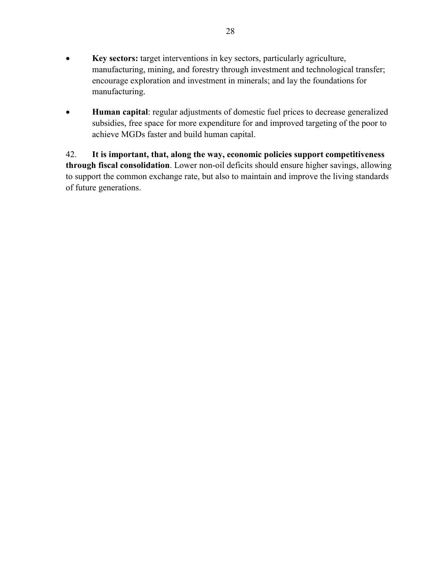- **Key sectors:** target interventions in key sectors, particularly agriculture, manufacturing, mining, and forestry through investment and technological transfer; encourage exploration and investment in minerals; and lay the foundations for manufacturing.
- **Human capital**: regular adjustments of domestic fuel prices to decrease generalized subsidies, free space for more expenditure for and improved targeting of the poor to achieve MGDs faster and build human capital.

<span id="page-29-0"></span>42. **It is important, that, along the way, economic policies support competitiveness through fiscal consolidation**. Lower non-oil deficits should ensure higher savings, allowing to support the common exchange rate, but also to maintain and improve the living standards of future generations.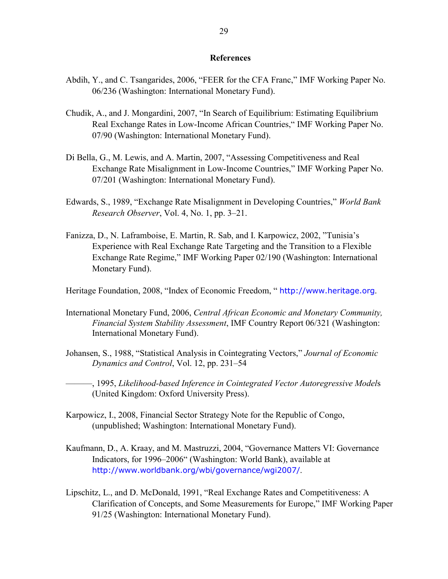#### **References**

- Abdih, Y., and C. Tsangarides, 2006, "FEER for the CFA Franc," IMF Working Paper No. 06/236 (Washington: International Monetary Fund).
- Chudik, A., and J. Mongardini, 2007, "In Search of Equilibrium: Estimating Equilibrium Real Exchange Rates in Low-Income African Countries," IMF Working Paper No. 07/90 (Washington: International Monetary Fund).
- Di Bella, G., M. Lewis, and A. Martin, 2007, "Assessing Competitiveness and Real Exchange Rate Misalignment in Low-Income Countries," IMF Working Paper No. 07/201 (Washington: International Monetary Fund).
- Edwards, S., 1989, "Exchange Rate Misalignment in Developing Countries," *World Bank Research Observer*, Vol. 4, No. 1, pp. 3–21.
- Fanizza, D., N. Laframboise, E. Martin, R. Sab, and I. Karpowicz, 2002, "Tunisia's Experience with Real Exchange Rate Targeting and the Transition to a Flexible Exchange Rate Regime," IMF Working Paper 02/190 (Washington: International Monetary Fund).

Heritage Foundation, 2008, "Index of Economic Freedom, " [http://www.heritage.org](http://www.heritage.org/).

- International Monetary Fund, 2006, *Central African Economic and Monetary Community, Financial System Stability Assessment*, IMF Country Report 06/321 (Washington: International Monetary Fund).
- Johansen, S., 1988, "Statistical Analysis in Cointegrating Vectors," *Journal of Economic Dynamics and Control*, Vol. 12, pp. 231–54

———, 1995, *Likelihood-based Inference in Cointegrated Vector Autoregressive Model*s (United Kingdom: Oxford University Press).

- Karpowicz, I., 2008, Financial Sector Strategy Note for the Republic of Congo, (unpublished; Washington: International Monetary Fund).
- Kaufmann, D., A. Kraay, and M. Mastruzzi, 2004, "Governance Matters VI: Governance Indicators, for 1996–2006" (Washington: World Bank), available at <http://www.worldbank.org/wbi/governance/wgi2007/>.
- Lipschitz, L., and D. McDonald, 1991, "Real Exchange Rates and Competitiveness: A Clarification of Concepts, and Some Measurements for Europe," IMF Working Paper 91/25 (Washington: International Monetary Fund).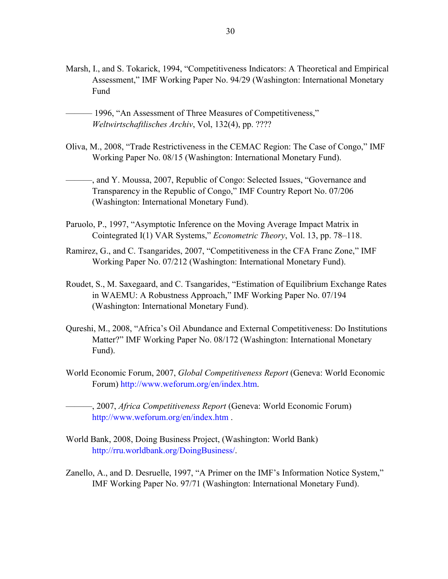- Marsh, I., and S. Tokarick, 1994, "Competitiveness Indicators: A Theoretical and Empirical Assessment," IMF Working Paper No. 94/29 (Washington: International Monetary Fund
- 1996, "An Assessment of Three Measures of Competitiveness," *Weltwirtschaftlisches Archiv*, Vol, 132(4), pp. ????
- Oliva, M., 2008, "Trade Restrictiveness in the CEMAC Region: The Case of Congo," IMF Working Paper No. 08/15 (Washington: International Monetary Fund).
	- ———, and Y. Moussa, 2007, Republic of Congo: Selected Issues, "Governance and Transparency in the Republic of Congo," IMF Country Report No. 07/206 (Washington: International Monetary Fund).
- Paruolo, P., 1997, "Asymptotic Inference on the Moving Average Impact Matrix in Cointegrated I(1) VAR Systems," *Econometric Theory*, Vol. 13, pp. 78–118.
- Ramirez, G., and C. Tsangarides, 2007, "Competitiveness in the CFA Franc Zone," IMF Working Paper No. 07/212 (Washington: International Monetary Fund).
- Roudet, S., M. Saxegaard, and C. Tsangarides, "Estimation of Equilibrium Exchange Rates in WAEMU: A Robustness Approach," IMF Working Paper No. 07/194 (Washington: International Monetary Fund).
- Qureshi, M., 2008, "Africa's Oil Abundance and External Competitiveness: Do Institutions Matter?" IMF Working Paper No. 08/172 (Washington: International Monetary Fund).
- World Economic Forum, 2007, *Global Competitiveness Report* (Geneva: World Economic Forum) <http://www.weforum.org/en/index.htm>.

———, 2007, *Africa Competitiveness Report* (Geneva: World Economic Forum) <http://www.weforum.org/en/index.htm> .

- World Bank, 2008, Doing Business Project, (Washington: World Bank) <http://rru.worldbank.org/DoingBusiness/>.
- Zanello, A., and D. Desruelle, 1997, "A Primer on the IMF's Information Notice System," IMF Working Paper No. 97/71 (Washington: International Monetary Fund).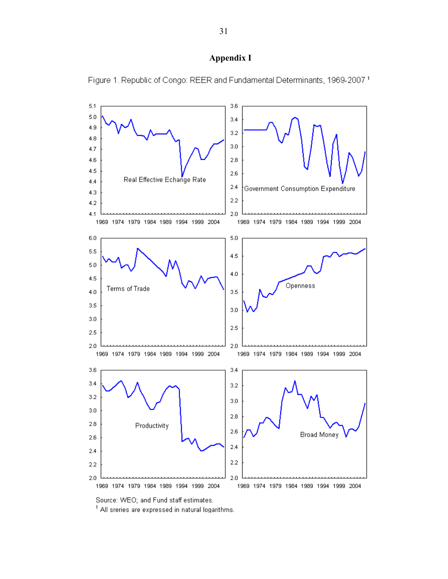#### **Appendix I**



Figure 1. Republic of Congo: REER and Fundamental Determinants, 1969-2007 1

Source: WEO; and Fund staff estimates.

<sup>1</sup> All sreries are expressed in natural logarithms.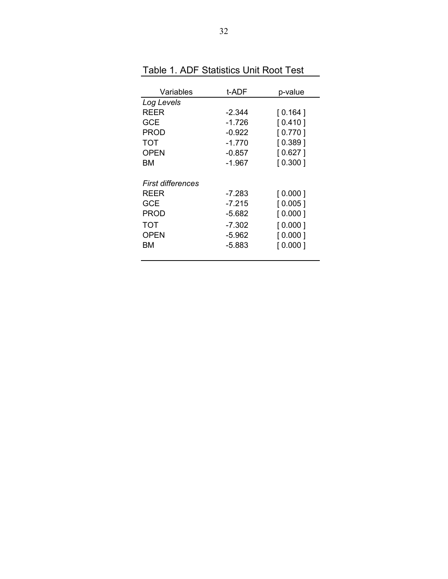| Variables         | t-ADF    | p-value |
|-------------------|----------|---------|
| Log Levels        |          |         |
| REER              | $-2.344$ | [0.164] |
| GCE               | -1.726   | [0.410] |
| PROD              | -0.922   | [0.770] |
| TOT               | -1.770   | 0.389   |
| <b>OPEN</b>       | -0.857   | 0.627 1 |
| ВM                | -1.967   | [0.300] |
|                   |          |         |
| First differences |          |         |
| REER              | -7.283   | [0.000] |
| GCE               | -7.215   | [0.005] |
| <b>PROD</b>       | -5.682   | [0.000] |
| TOT               | $-7.302$ | [0.000] |
| <b>OPEN</b>       | -5.962   | [0.000] |
| ВM                | -5.883   | [0.000] |
|                   |          |         |

Table 1. ADF Statistics Unit Root Test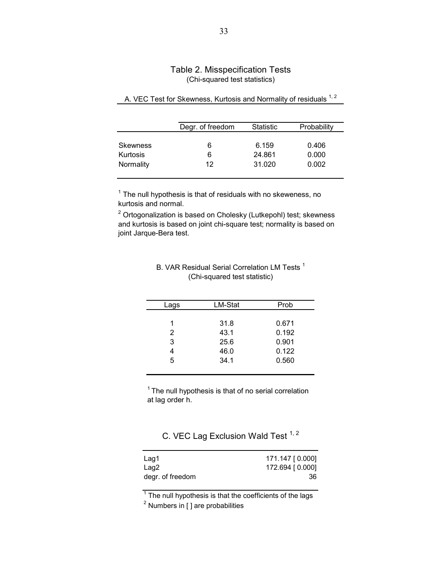## Table 2. Misspecification Tests (Chi-squared test statistics)

|                       | Degr. of freedom | <b>Statistic</b> | Probability    |
|-----------------------|------------------|------------------|----------------|
| <b>Skewness</b>       | 6                | 6.159            | 0.406          |
| Kurtosis<br>Normality | 6<br>12          | 24.861<br>31.020 | 0.000<br>0.002 |
|                       |                  |                  |                |

## A. VEC Test for Skewness, Kurtosis and Normality of residuals <sup>1, 2</sup>

 $1$  The null hypothesis is that of residuals with no skeweness, no kurtosis and normal.

 $2$  Ortogonalization is based on Cholesky (Lutkepohl) test; skewness and kurtosis is based on joint chi-square test; normality is based on joint Jarque-Bera test.

| Lags | LM-Stat | Prob  |
|------|---------|-------|
|      |         |       |
|      | 31.8    | 0.671 |
| 2    | 43.1    | 0.192 |
| 3    | 25.6    | 0.901 |
|      | 46.0    | 0.122 |
| 5    | 34.1    | 0.560 |
|      |         |       |

## B. VAR Residual Serial Correlation LM Tests<sup>1</sup> (Chi-squared test statistic)

 $1$ <sup>1</sup> The null hypothesis is that of no serial correlation at lag order h.

C. VEC Lag Exclusion Wald Test <sup>1, 2</sup>

| 171.147 [0.000] |
|-----------------|
| 172.694 [0.000] |
| 36              |
|                 |

 $1$  The null hypothesis is that the coefficients of the lags

 $2$  Numbers in [ ] are probabilities